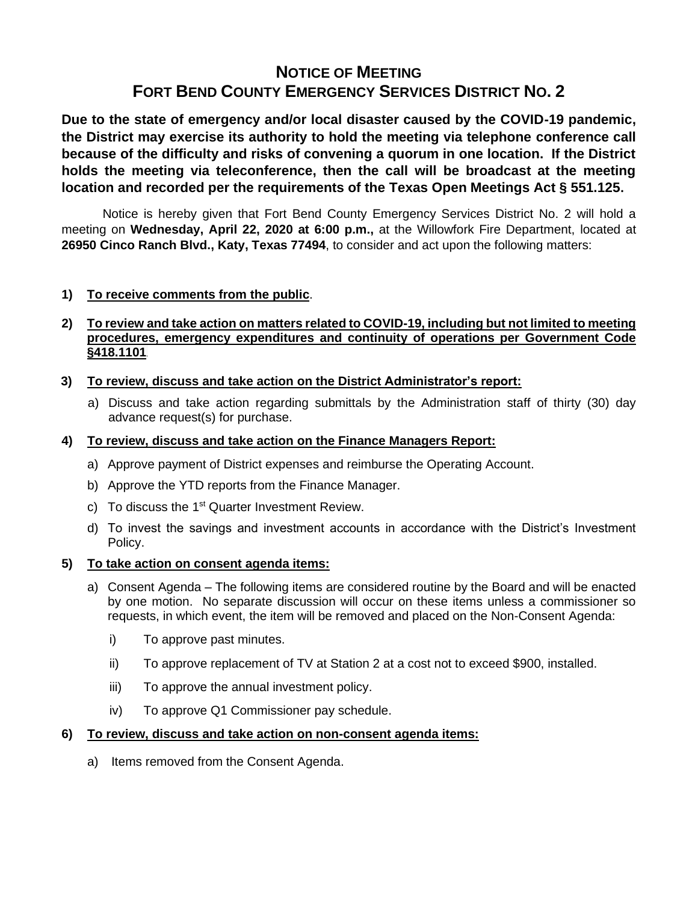# **NOTICE OF MEETING FORT BEND COUNTY EMERGENCY SERVICES DISTRICT NO. 2**

**Due to the state of emergency and/or local disaster caused by the COVID-19 pandemic, the District may exercise its authority to hold the meeting via telephone conference call because of the difficulty and risks of convening a quorum in one location. If the District holds the meeting via teleconference, then the call will be broadcast at the meeting location and recorded per the requirements of the Texas Open Meetings Act § 551.125.**

Notice is hereby given that Fort Bend County Emergency Services District No. 2 will hold a meeting on **Wednesday, April 22, 2020 at 6:00 p.m.,** at the Willowfork Fire Department, located at **26950 Cinco Ranch Blvd., Katy, Texas 77494**, to consider and act upon the following matters:

# **1) To receive comments from the public**.

# **2) To review and take action on matters related to COVID-19, including but not limited to meeting procedures, emergency expenditures and continuity of operations per Government Code §418.1101**.

# **3) To review, discuss and take action on the District Administrator's report:**

a) Discuss and take action regarding submittals by the Administration staff of thirty (30) day advance request(s) for purchase.

### **4) To review, discuss and take action on the Finance Managers Report:**

- a) Approve payment of District expenses and reimburse the Operating Account.
- b) Approve the YTD reports from the Finance Manager.
- c) To discuss the  $1<sup>st</sup>$  Quarter Investment Review.
- d) To invest the savings and investment accounts in accordance with the District's Investment Policy.

### **5) To take action on consent agenda items:**

- a) Consent Agenda The following items are considered routine by the Board and will be enacted by one motion. No separate discussion will occur on these items unless a commissioner so requests, in which event, the item will be removed and placed on the Non-Consent Agenda:
	- i) To approve past minutes.
	- ii) To approve replacement of TV at Station 2 at a cost not to exceed \$900, installed.
	- iii) To approve the annual investment policy.
	- iv) To approve Q1 Commissioner pay schedule.

### **6) To review, discuss and take action on non-consent agenda items:**

a) Items removed from the Consent Agenda.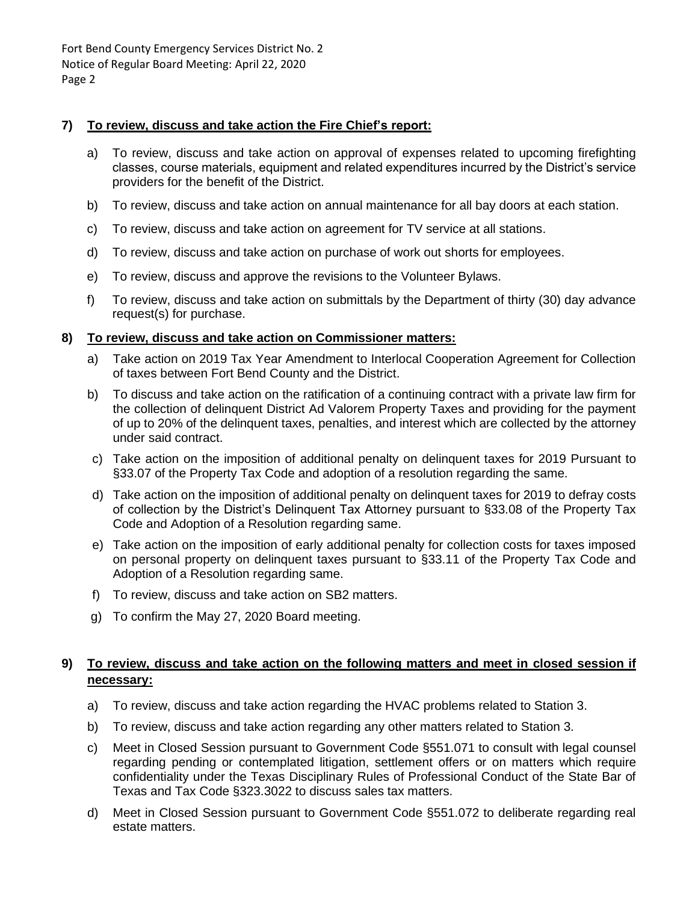Fort Bend County Emergency Services District No. 2 Notice of Regular Board Meeting: April 22, 2020 Page 2

### **7) To review, discuss and take action the Fire Chief's report:**

- a) To review, discuss and take action on approval of expenses related to upcoming firefighting classes, course materials, equipment and related expenditures incurred by the District's service providers for the benefit of the District.
- b) To review, discuss and take action on annual maintenance for all bay doors at each station.
- c) To review, discuss and take action on agreement for TV service at all stations.
- d) To review, discuss and take action on purchase of work out shorts for employees.
- e) To review, discuss and approve the revisions to the Volunteer Bylaws.
- f) To review, discuss and take action on submittals by the Department of thirty (30) day advance request(s) for purchase.

#### **8) To review, discuss and take action on Commissioner matters:**

- a) Take action on 2019 Tax Year Amendment to Interlocal Cooperation Agreement for Collection of taxes between Fort Bend County and the District.
- b) To discuss and take action on the ratification of a continuing contract with a private law firm for the collection of delinquent District Ad Valorem Property Taxes and providing for the payment of up to 20% of the delinquent taxes, penalties, and interest which are collected by the attorney under said contract.
- c) Take action on the imposition of additional penalty on delinquent taxes for 2019 Pursuant to §33.07 of the Property Tax Code and adoption of a resolution regarding the same.
- d) Take action on the imposition of additional penalty on delinquent taxes for 2019 to defray costs of collection by the District's Delinquent Tax Attorney pursuant to §33.08 of the Property Tax Code and Adoption of a Resolution regarding same.
- e) Take action on the imposition of early additional penalty for collection costs for taxes imposed on personal property on delinquent taxes pursuant to §33.11 of the Property Tax Code and Adoption of a Resolution regarding same.
- f) To review, discuss and take action on SB2 matters.
- g) To confirm the May 27, 2020 Board meeting.

# **9) To review, discuss and take action on the following matters and meet in closed session if necessary:**

- a) To review, discuss and take action regarding the HVAC problems related to Station 3.
- b) To review, discuss and take action regarding any other matters related to Station 3.
- c) Meet in Closed Session pursuant to Government Code §551.071 to consult with legal counsel regarding pending or contemplated litigation, settlement offers or on matters which require confidentiality under the Texas Disciplinary Rules of Professional Conduct of the State Bar of Texas and Tax Code §323.3022 to discuss sales tax matters.
- d) Meet in Closed Session pursuant to Government Code §551.072 to deliberate regarding real estate matters.